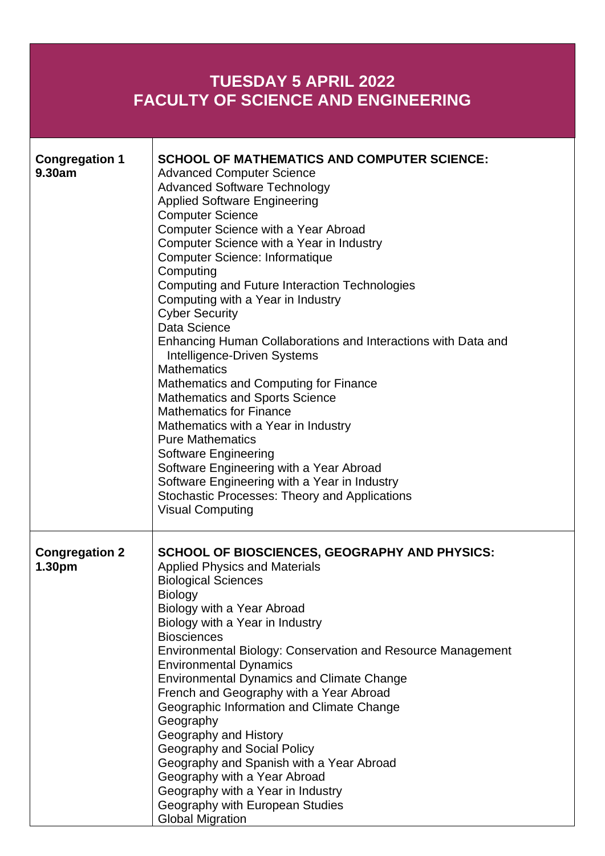## **TUESDAY 5 APRIL 2022 FACULTY OF SCIENCE AND ENGINEERING Congregation 1 9.30am SCHOOL OF MATHEMATICS AND COMPUTER SCIENCE:** Advanced Computer Science Advanced Software Technology Applied Software Engineering Computer Science Computer Science with a Year Abroad Computer Science with a Year in Industry Computer Science: Informatique **Computing** Computing and Future Interaction Technologies Computing with a Year in Industry Cyber Security Data Science Enhancing Human Collaborations and Interactions with Data and Intelligence-Driven Systems **Mathematics** Mathematics and Computing for Finance Mathematics and Sports Science Mathematics for Finance Mathematics with a Year in Industry Pure Mathematics Software Engineering Software Engineering with a Year Abroad Software Engineering with a Year in Industry Stochastic Processes: Theory and Applications Visual Computing **Congregation 2 SCHOOL OF BIOSCIENCES, GEOGRAPHY AND PHYSICS:** Applied Physics and Materials Biological Sciences

| 1.30 <sub>pm</sub> | <b>Applied Physics and Materials</b>                        |
|--------------------|-------------------------------------------------------------|
|                    | <b>Biological Sciences</b>                                  |
|                    | <b>Biology</b>                                              |
|                    | Biology with a Year Abroad                                  |
|                    | Biology with a Year in Industry                             |
|                    | <b>Biosciences</b>                                          |
|                    | Environmental Biology: Conservation and Resource Management |
|                    | <b>Environmental Dynamics</b>                               |
|                    | <b>Environmental Dynamics and Climate Change</b>            |
|                    | French and Geography with a Year Abroad                     |
|                    | Geographic Information and Climate Change                   |
|                    | Geography                                                   |
|                    | Geography and History                                       |
|                    | Geography and Social Policy                                 |
|                    | Geography and Spanish with a Year Abroad                    |
|                    | Geography with a Year Abroad                                |
|                    | Geography with a Year in Industry                           |
|                    | Geography with European Studies                             |
|                    | <b>Global Migration</b>                                     |